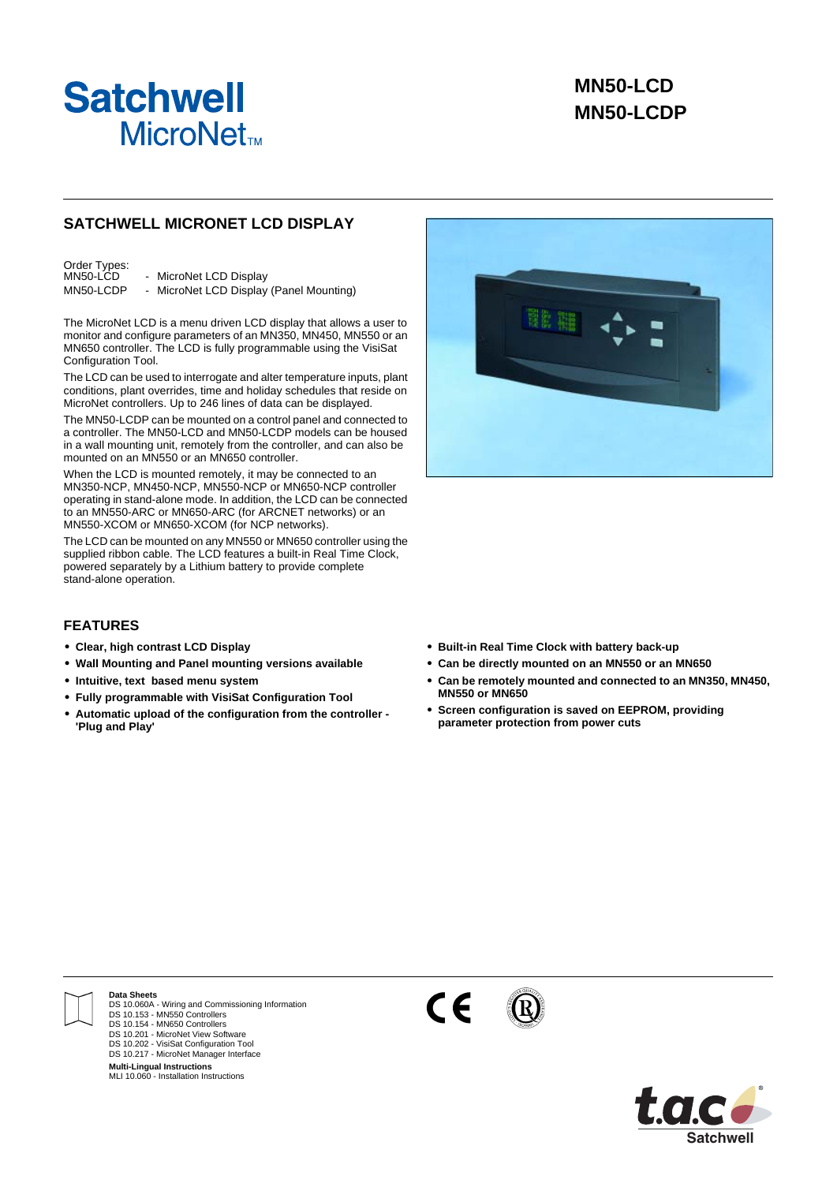

## **SATCHWELL MICRONET LCD DISPLAY**

Order Types:<br>MN50-LCD - MicroNet LCD Display MN50-LCDP - MicroNet LCD Display (Panel Mounting)

The MicroNet LCD is a menu driven LCD display that allows a user to monitor and configure parameters of an MN350, MN450, MN550 or an MN650 controller. The LCD is fully programmable using the VisiSat Configuration Tool.

The LCD can be used to interrogate and alter temperature inputs, plant conditions, plant overrides, time and holiday schedules that reside on MicroNet controllers. Up to 246 lines of data can be displayed.

The MN50-LCDP can be mounted on a control panel and connected to a controller. The MN50-LCD and MN50-LCDP models can be housed in a wall mounting unit, remotely from the controller, and can also be mounted on an MN550 or an MN650 controller.

When the LCD is mounted remotely, it may be connected to an MN350-NCP, MN450-NCP, MN550-NCP or MN650-NCP controller operating in stand-alone mode. In addition, the LCD can be connected to an MN550-ARC or MN650-ARC (for ARCNET networks) or an MN550-XCOM or MN650-XCOM (for NCP networks).

The LCD can be mounted on any MN550 or MN650 controller using the supplied ribbon cable. The LCD features a built-in Real Time Clock, powered separately by a Lithium battery to provide complete stand-alone operation.

## **FEATURES**

- **• Clear, high contrast LCD Display**
- **• Wall Mounting and Panel mounting versions available**
- **• Intuitive, text based menu system**
- **• Fully programmable with VisiSat Configuration Tool**
- **• Automatic upload of the configuration from the controller 'Plug and Play'**



- **• Built-in Real Time Clock with battery back-up**
- **• Can be directly mounted on an MN550 or an MN650**
- **• Can be remotely mounted and connected to an MN350, MN450, MN550 or MN650**
- **• Screen configuration is saved on EEPROM, providing parameter protection from power cuts**



**Data Sheets**

DS 10.060A - Wiring and Commissioning Information DS 10.153 - MN550 Controllers DS 10.154 - MN650 Controllers DS 10.201 - MicroNet View Software DS 10.202 - VisiSat Configuration Tool DS 10.217 - MicroNet Manager Interface

**Multi-Lingual Instructions** MLI 10.060 - Installation Instructions



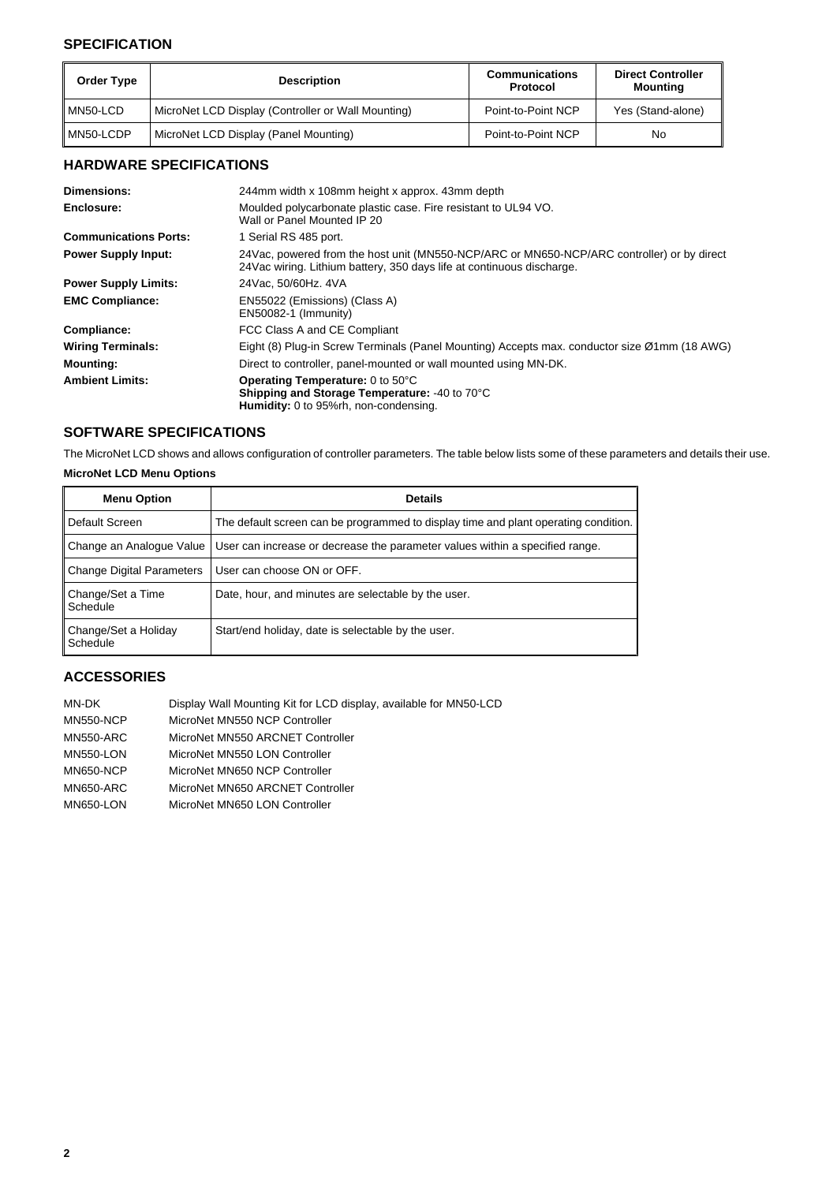## **SPECIFICATION**

| <b>Order Type</b> | <b>Description</b>                                 | <b>Communications</b><br>Protocol | <b>Direct Controller</b><br>Mounting |
|-------------------|----------------------------------------------------|-----------------------------------|--------------------------------------|
| MN50-LCD          | MicroNet LCD Display (Controller or Wall Mounting) | Point-to-Point NCP                | Yes (Stand-alone)                    |
| MN50-LCDP         | MicroNet LCD Display (Panel Mounting)              | Point-to-Point NCP                | No                                   |

# **HARDWARE SPECIFICATIONS**

| Dimensions:                  | 244mm width x 108mm height x approx. 43mm depth                                                                                                                      |
|------------------------------|----------------------------------------------------------------------------------------------------------------------------------------------------------------------|
| Enclosure:                   | Moulded polycarbonate plastic case. Fire resistant to UL94 VO.<br>Wall or Panel Mounted IP 20                                                                        |
| <b>Communications Ports:</b> | 1 Serial RS 485 port.                                                                                                                                                |
| <b>Power Supply Input:</b>   | 24Vac, powered from the host unit (MN550-NCP/ARC or MN650-NCP/ARC controller) or by direct<br>24 Vac wiring. Lithium battery, 350 days life at continuous discharge. |
| <b>Power Supply Limits:</b>  | 24 Vac. 50/60 Hz. 4 VA                                                                                                                                               |
| <b>EMC Compliance:</b>       | EN55022 (Emissions) (Class A)<br>$EN50082-1$ (Immunity)                                                                                                              |
| Compliance:                  | FCC Class A and CE Compliant                                                                                                                                         |
| <b>Wiring Terminals:</b>     | Eight (8) Plug-in Screw Terminals (Panel Mounting) Accepts max. conductor size Ø1mm (18 AWG)                                                                         |
| <b>Mounting:</b>             | Direct to controller, panel-mounted or wall mounted using MN-DK.                                                                                                     |
| <b>Ambient Limits:</b>       | <b>Operating Temperature: 0 to 50°C</b><br><b>Shipping and Storage Temperature: -40 to 70°C</b><br><b>Humidity:</b> 0 to 95%rh, non-condensing.                      |

## **SOFTWARE SPECIFICATIONS**

The MicroNet LCD shows and allows configuration of controller parameters. The table below lists some of these parameters and details their use.

## **MicroNet LCD Menu Options**

| <b>Menu Option</b>               | <b>Details</b>                                                                      |
|----------------------------------|-------------------------------------------------------------------------------------|
| Default Screen                   | The default screen can be programmed to display time and plant operating condition. |
| Change an Analogue Value         | User can increase or decrease the parameter values within a specified range.        |
| <b>Change Digital Parameters</b> | User can choose ON or OFF.                                                          |
| Change/Set a Time<br>Schedule    | Date, hour, and minutes are selectable by the user.                                 |
| Change/Set a Holiday<br>Schedule | Start/end holiday, date is selectable by the user.                                  |

## **ACCESSORIES**

| MN-DK            | Display Wall Mounting Kit for LCD display, available for MN50-LCD |
|------------------|-------------------------------------------------------------------|
| <b>MN550-NCP</b> | MicroNet MN550 NCP Controller                                     |
| <b>MN550-ARC</b> | MicroNet MN550 ARCNET Controller                                  |
| <b>MN550-LON</b> | MicroNet MN550 LON Controller                                     |
| <b>MN650-NCP</b> | MicroNet MN650 NCP Controller                                     |
| <b>MN650-ARC</b> | MicroNet MN650 ARCNET Controller                                  |
| <b>MN650-LON</b> | MicroNet MN650 LON Controller                                     |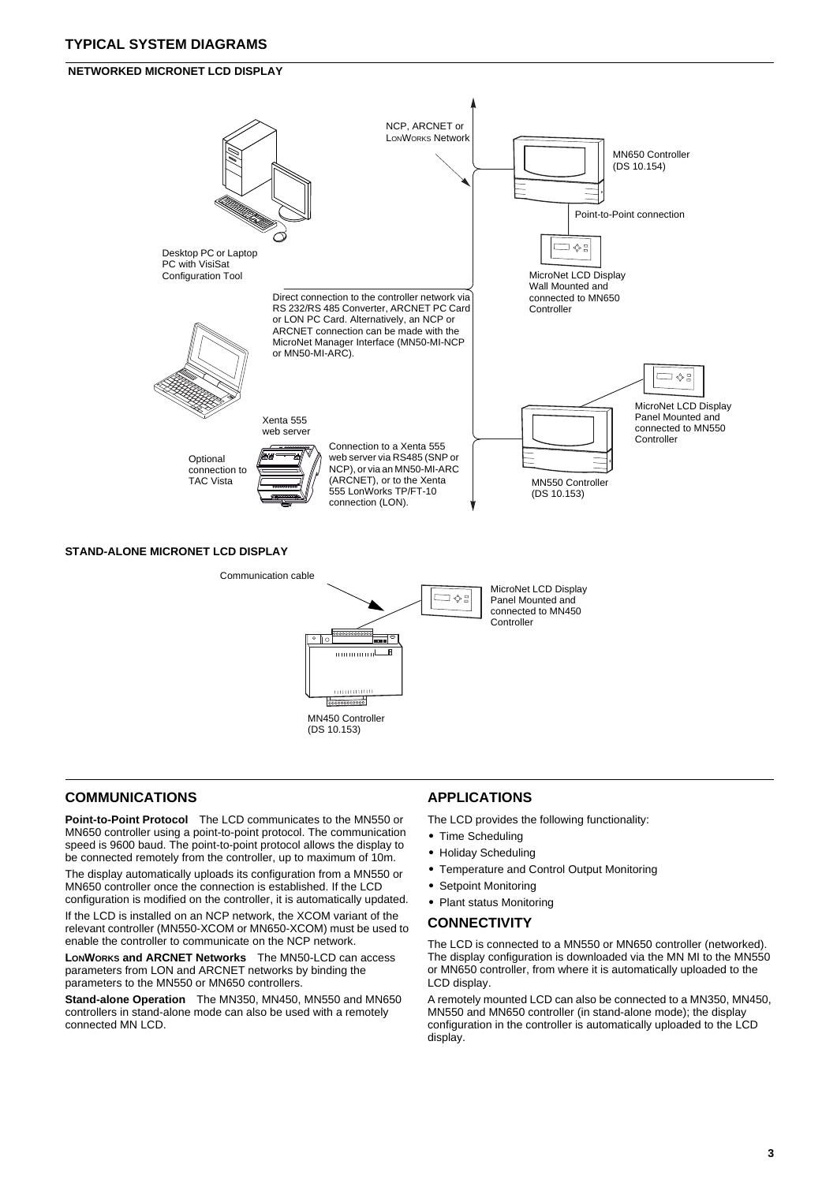## **TYPICAL SYSTEM DIAGRAMS**

### **NETWORKED MICRONET LCD DISPLAY**



## **COMMUNICATIONS**

**Point-to-Point Protocol** The LCD communicates to the MN550 or MN650 controller using a point-to-point protocol. The communication speed is 9600 baud. The point-to-point protocol allows the display to be connected remotely from the controller, up to maximum of 10m.

MN450 Controller (DS 10.153)

..............

The display automatically uploads its configuration from a MN550 or MN650 controller once the connection is established. If the LCD configuration is modified on the controller, it is automatically updated.

If the LCD is installed on an NCP network, the XCOM variant of the relevant controller (MN550-XCOM or MN650-XCOM) must be used to enable the controller to communicate on the NCP network.

**LONWORKS and ARCNET Networks** The MN50-LCD can access parameters from LON and ARCNET networks by binding the parameters to the MN550 or MN650 controllers.

**Stand-alone Operation** The MN350, MN450, MN550 and MN650 controllers in stand-alone mode can also be used with a remotely connected MN LCD.

## **APPLICATIONS**

The LCD provides the following functionality:

- **•** Time Scheduling
- **•** Holiday Scheduling
- **•** Temperature and Control Output Monitoring
- **•** Setpoint Monitoring
- **•** Plant status Monitoring

#### **CONNECTIVITY**

The LCD is connected to a MN550 or MN650 controller (networked). The display configuration is downloaded via the MN MI to the MN550 or MN650 controller, from where it is automatically uploaded to the LCD display.

A remotely mounted LCD can also be connected to a MN350, MN450, MN550 and MN650 controller (in stand-alone mode); the display configuration in the controller is automatically uploaded to the LCD display.